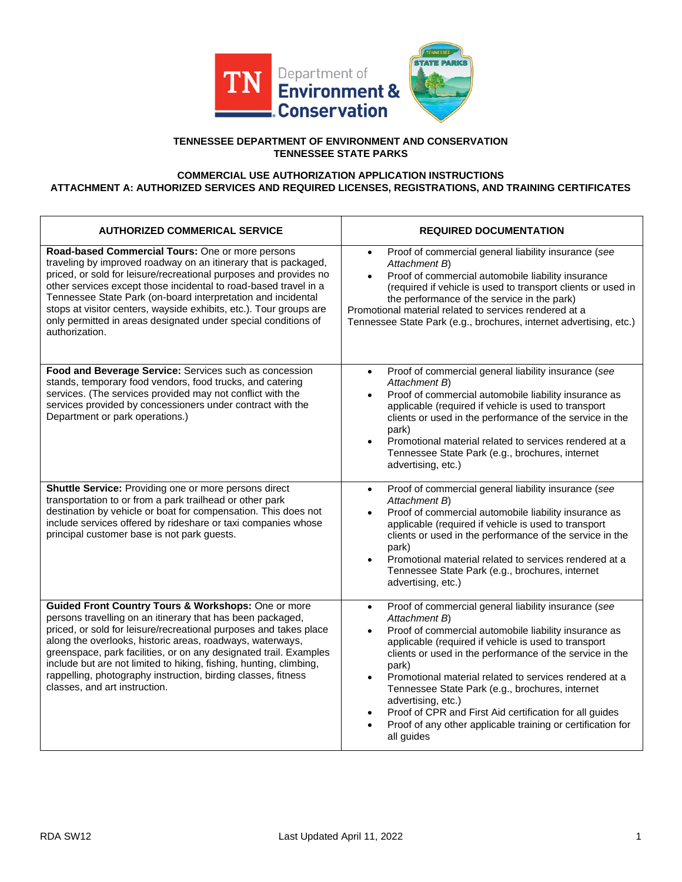

## **TENNESSEE DEPARTMENT OF ENVIRONMENT AND CONSERVATION TENNESSEE STATE PARKS**

## **COMMERCIAL USE AUTHORIZATION APPLICATION INSTRUCTIONS ATTACHMENT A: AUTHORIZED SERVICES AND REQUIRED LICENSES, REGISTRATIONS, AND TRAINING CERTIFICATES**

| <b>AUTHORIZED COMMERICAL SERVICE</b>                                                                                                                                                                                                                                                                                                                                                                                                                                                             | <b>REQUIRED DOCUMENTATION</b>                                                                                                                                                                                                                                                                                                                                                                                                                                                                                                                                    |
|--------------------------------------------------------------------------------------------------------------------------------------------------------------------------------------------------------------------------------------------------------------------------------------------------------------------------------------------------------------------------------------------------------------------------------------------------------------------------------------------------|------------------------------------------------------------------------------------------------------------------------------------------------------------------------------------------------------------------------------------------------------------------------------------------------------------------------------------------------------------------------------------------------------------------------------------------------------------------------------------------------------------------------------------------------------------------|
| Road-based Commercial Tours: One or more persons<br>traveling by improved roadway on an itinerary that is packaged,<br>priced, or sold for leisure/recreational purposes and provides no<br>other services except those incidental to road-based travel in a<br>Tennessee State Park (on-board interpretation and incidental<br>stops at visitor centers, wayside exhibits, etc.). Tour groups are<br>only permitted in areas designated under special conditions of<br>authorization.           | Proof of commercial general liability insurance (see<br>$\bullet$<br>Attachment B)<br>Proof of commercial automobile liability insurance<br>(required if vehicle is used to transport clients or used in<br>the performance of the service in the park)<br>Promotional material related to services rendered at a<br>Tennessee State Park (e.g., brochures, internet advertising, etc.)                                                                                                                                                                          |
| Food and Beverage Service: Services such as concession<br>stands, temporary food vendors, food trucks, and catering<br>services. (The services provided may not conflict with the<br>services provided by concessioners under contract with the<br>Department or park operations.)                                                                                                                                                                                                               | Proof of commercial general liability insurance (see<br>$\bullet$<br>Attachment B)<br>Proof of commercial automobile liability insurance as<br>applicable (required if vehicle is used to transport<br>clients or used in the performance of the service in the<br>park)<br>Promotional material related to services rendered at a<br>Tennessee State Park (e.g., brochures, internet<br>advertising, etc.)                                                                                                                                                      |
| Shuttle Service: Providing one or more persons direct<br>transportation to or from a park trailhead or other park<br>destination by vehicle or boat for compensation. This does not<br>include services offered by rideshare or taxi companies whose<br>principal customer base is not park guests.                                                                                                                                                                                              | Proof of commercial general liability insurance (see<br>$\bullet$<br>Attachment B)<br>Proof of commercial automobile liability insurance as<br>applicable (required if vehicle is used to transport<br>clients or used in the performance of the service in the<br>park)<br>Promotional material related to services rendered at a<br>Tennessee State Park (e.g., brochures, internet<br>advertising, etc.)                                                                                                                                                      |
| Guided Front Country Tours & Workshops: One or more<br>persons travelling on an itinerary that has been packaged,<br>priced, or sold for leisure/recreational purposes and takes place<br>along the overlooks, historic areas, roadways, waterways,<br>greenspace, park facilities, or on any designated trail. Examples<br>include but are not limited to hiking, fishing, hunting, climbing,<br>rappelling, photography instruction, birding classes, fitness<br>classes, and art instruction. | Proof of commercial general liability insurance (see<br>$\bullet$<br>Attachment B)<br>Proof of commercial automobile liability insurance as<br>applicable (required if vehicle is used to transport<br>clients or used in the performance of the service in the<br>park)<br>Promotional material related to services rendered at a<br>$\bullet$<br>Tennessee State Park (e.g., brochures, internet<br>advertising, etc.)<br>Proof of CPR and First Aid certification for all guides<br>Proof of any other applicable training or certification for<br>all guides |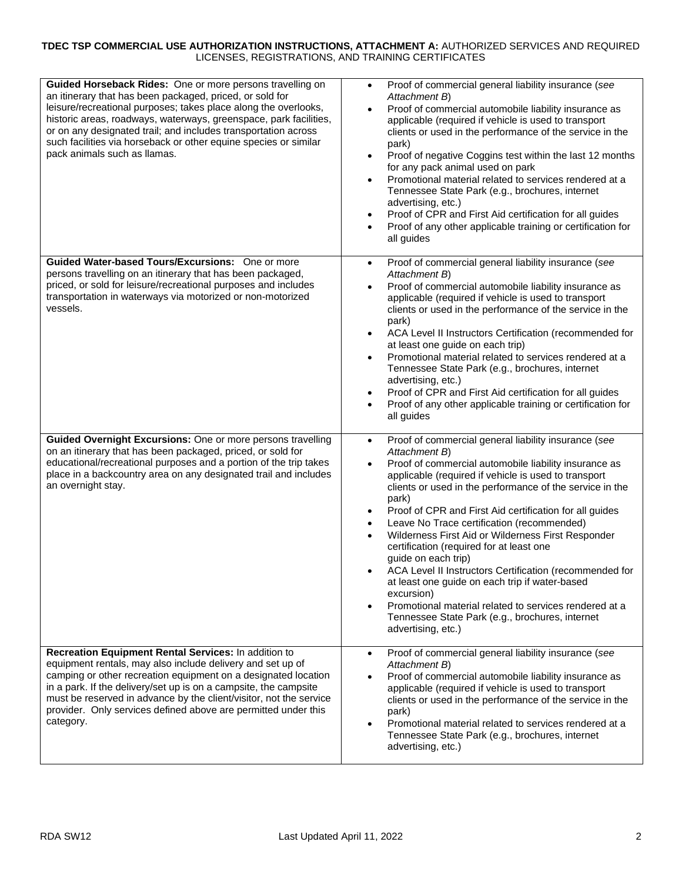## **TDEC TSP COMMERCIAL USE AUTHORIZATION INSTRUCTIONS, ATTACHMENT A:** AUTHORIZED SERVICES AND REQUIRED LICENSES, REGISTRATIONS, AND TRAINING CERTIFICATES

| Guided Horseback Rides: One or more persons travelling on<br>an itinerary that has been packaged, priced, or sold for<br>leisure/recreational purposes; takes place along the overlooks,<br>historic areas, roadways, waterways, greenspace, park facilities,<br>or on any designated trail; and includes transportation across<br>such facilities via horseback or other equine species or similar<br>pack animals such as llamas. | Proof of commercial general liability insurance (see<br>$\bullet$<br>Attachment B)<br>Proof of commercial automobile liability insurance as<br>$\bullet$<br>applicable (required if vehicle is used to transport<br>clients or used in the performance of the service in the<br>park)<br>Proof of negative Coggins test within the last 12 months<br>for any pack animal used on park<br>Promotional material related to services rendered at a<br>Tennessee State Park (e.g., brochures, internet<br>advertising, etc.)<br>Proof of CPR and First Aid certification for all guides<br>$\bullet$<br>Proof of any other applicable training or certification for<br>all guides                                                                                                                                   |
|-------------------------------------------------------------------------------------------------------------------------------------------------------------------------------------------------------------------------------------------------------------------------------------------------------------------------------------------------------------------------------------------------------------------------------------|-----------------------------------------------------------------------------------------------------------------------------------------------------------------------------------------------------------------------------------------------------------------------------------------------------------------------------------------------------------------------------------------------------------------------------------------------------------------------------------------------------------------------------------------------------------------------------------------------------------------------------------------------------------------------------------------------------------------------------------------------------------------------------------------------------------------|
| Guided Water-based Tours/Excursions: One or more<br>persons travelling on an itinerary that has been packaged,<br>priced, or sold for leisure/recreational purposes and includes<br>transportation in waterways via motorized or non-motorized<br>vessels.                                                                                                                                                                          | Proof of commercial general liability insurance (see<br>$\bullet$<br>Attachment B)<br>Proof of commercial automobile liability insurance as<br>applicable (required if vehicle is used to transport<br>clients or used in the performance of the service in the<br>park)<br>ACA Level II Instructors Certification (recommended for<br>at least one guide on each trip)<br>Promotional material related to services rendered at a<br>$\bullet$<br>Tennessee State Park (e.g., brochures, internet<br>advertising, etc.)<br>Proof of CPR and First Aid certification for all guides<br>Proof of any other applicable training or certification for<br>$\bullet$<br>all guides                                                                                                                                    |
| Guided Overnight Excursions: One or more persons travelling<br>on an itinerary that has been packaged, priced, or sold for<br>educational/recreational purposes and a portion of the trip takes<br>place in a backcountry area on any designated trail and includes<br>an overnight stay.                                                                                                                                           | Proof of commercial general liability insurance (see<br>$\bullet$<br>Attachment B)<br>Proof of commercial automobile liability insurance as<br>$\bullet$<br>applicable (required if vehicle is used to transport<br>clients or used in the performance of the service in the<br>park)<br>Proof of CPR and First Aid certification for all guides<br>$\bullet$<br>Leave No Trace certification (recommended)<br>Wilderness First Aid or Wilderness First Responder<br>certification (required for at least one<br>guide on each trip)<br>ACA Level II Instructors Certification (recommended for<br>at least one guide on each trip if water-based<br>excursion)<br>Promotional material related to services rendered at a<br>$\bullet$<br>Tennessee State Park (e.g., brochures, internet<br>advertising, etc.) |
| Recreation Equipment Rental Services: In addition to<br>equipment rentals, may also include delivery and set up of<br>camping or other recreation equipment on a designated location<br>in a park. If the delivery/set up is on a campsite, the campsite<br>must be reserved in advance by the client/visitor, not the service<br>provider. Only services defined above are permitted under this<br>category.                       | Proof of commercial general liability insurance (see<br>$\bullet$<br>Attachment B)<br>Proof of commercial automobile liability insurance as<br>applicable (required if vehicle is used to transport<br>clients or used in the performance of the service in the<br>park)<br>Promotional material related to services rendered at a<br>Tennessee State Park (e.g., brochures, internet<br>advertising, etc.)                                                                                                                                                                                                                                                                                                                                                                                                     |